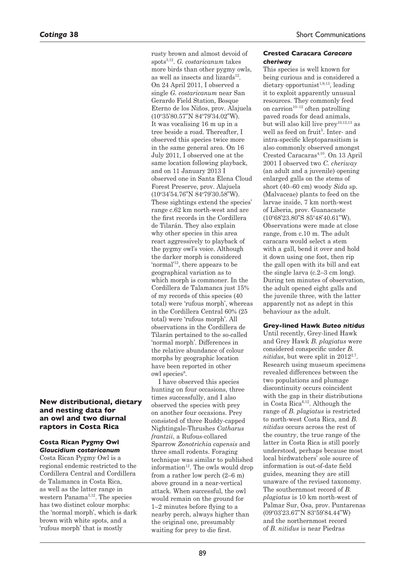# **New distributional, dietary and nesting data for an owl and two diurnal raptors in Costa Rica**

#### **Costa Rican Pygmy Owl**  *Glaucidium costaricanum*

Costa Rican Pygmy Owl is a regional endemic restricted to the Cordillera Central and Cordillera de Talamanca in Costa Rica, as well as the latter range in western Panama<sup>3,12</sup>. The species has two distinct colour morphs: the 'normal morph', which is dark brown with white spots, and a 'rufous morph' that is mostly

rusty brown and almost devoid of spots3,12. *G. costaricanum* takes more birds than other pygmy owls, as well as insects and lizards $12$ . On 24 April 2011, I observed a single *G. costaricanum* near San Gerardo Field Station, Bosque Eterno de los Niños, prov. Alajuela (10°35'80.57"N 84°79'34.02"W). It was vocalising 16 m up in a tree beside a road. Thereafter, I observed this species twice more in the same general area. On 16 July 2011, I observed one at the same location following playback, and on 11 January 2013 I observed one in Santa Elena Cloud Forest Preserve, prov. Alajuela (10o 34'54.76"N 84o 79'30.58"W). These sightings extend the species' range c.62 km north-west and are the first records in the Cordillera de Tilarán. They also explain why other species in this area react aggressively to playback of the pygmy owl's voice. Although the darker morph is considered 'normal'12, there appears to be geographical variation as to which morph is commoner. In the Cordillera de Talamanca just 15% of my records of this species (40 total) were 'rufous morph', whereas in the Cordillera Central 60% (25 total) were 'rufous morph'. All observations in the Cordillera de Tilarán pertained to the so-called 'normal morph'. Differences in the relative abundance of colour morphs by geographic location have been reported in other owl species<sup>8</sup>.

I have observed this species hunting on four occasions, three times successfully, and I also observed the species with prey on another four occasions. Prey consisted of three Ruddy-capped Nightingale-Thrushes *Catharus frantzii*, a Rufous-collared Sparrow *Zonotrichia capensis* and three small rodents. Foraging technique was similar to published information<sup>12</sup>. The owls would drop from a rather low perch (2–6 m) above ground in a near-vertical attack. When successful, the owl would remain on the ground for 1–2 minutes before flying to a nearby perch, always higher than the original one, presumably waiting for prey to die first.

## **Crested Caracara** *Caracara cheriway*

This species is well known for being curious and is considered a  $d$ ietary opportunist<sup>1,9,13</sup>, leading it to exploit apparently unusual resources. They commonly feed on carrion<sup>10–12</sup> often patrolling paved roads for dead animals, but will also kill live  $prey^{10,12,13}$  as well as feed on fruit<sup>5</sup>. Inter- and intra-specific kleptoparasitism is also commonly observed amongst Crested Caracaras4,10. On 13 April 2001 I observed two *C. cheriway* (an adult and a juvenile) opening enlarged galls on the stems of short (40–60 cm) woody *Sida* sp. (Malvaceae) plants to feed on the larvae inside, 7 km north-west of Liberia, prov. Guanacaste (10°68'23.80"S 85°48'40.61"W). Observations were made at close range, from c.10 m. The adult caracara would select a stem with a gall, bend it over and hold it down using one foot, then rip the gall open with its bill and eat the single larva (c.2–3 cm long). During ten minutes of observation, the adult opened eight galls and the juvenile three, with the latter apparently not as adept in this behaviour as the adult.

### **Grey-lined Hawk** *Buteo nitidus*

Until recently, Grey-lined Hawk and Grey Hawk *B. plagiatus* were considered conspecific under *B.*   $nitalus$ , but were split in  $2012^{2.7}$ . Research using museum specimens revealed differences between the two populations and plumage discontinuity occurs coincident with the gap in their distributions in Costa Rica6,12. Although the range of *B. plagiatus* is restricted to north-west Costa Rica, and *B. nitidus* occurs across the rest of the country, the true range of the latter in Costa Rica is still poorly understood, perhaps because most local birdwatchers' sole source of information is out-of-date field guides, meaning they are still unaware of the revised taxonomy. The southernmost record of *B. plagiatus* is 10 km north-west of Palmar Sur, Osa, prov. Puntarenas (09o 03'23.67"N 83o 59'84.44"W) and the northernmost record of *B. nitidus* is near Piedras